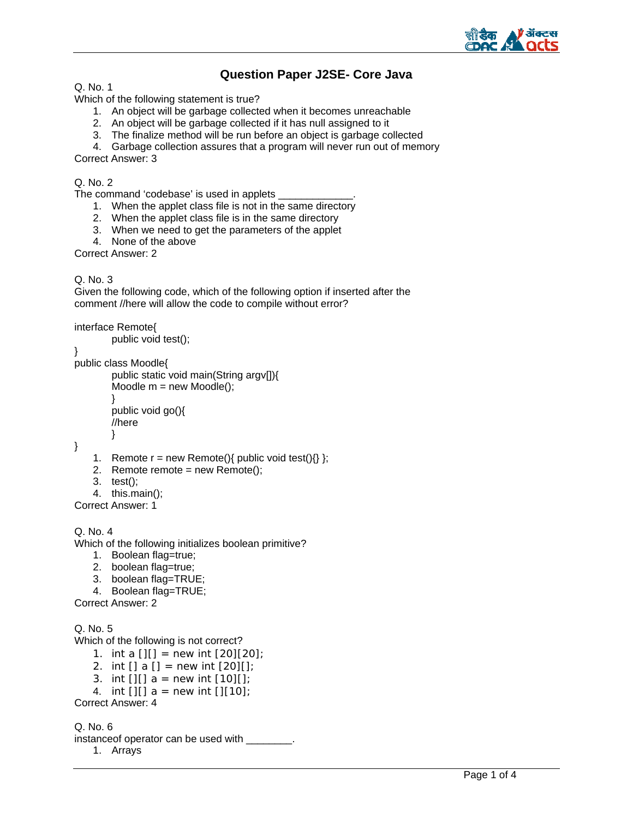

# **Question Paper J2SE- Core Java**

Q. No. 1

Which of the following statement is true?

- 1. An object will be garbage collected when it becomes unreachable
- 2. An object will be garbage collected if it has null assigned to it
- 3. The finalize method will be run before an object is garbage collected
- 4. Garbage collection assures that a program will never run out of memory

Correct Answer: 3

## Q. No. 2

The command 'codebase' is used in applets

- 1. When the applet class file is not in the same directory
- 2. When the applet class file is in the same directory
- 3. When we need to get the parameters of the applet
- 4. None of the above

Correct Answer: 2

### Q. No. 3

Given the following code, which of the following option if inserted after the comment //here will allow the code to compile without error?

interface Remote{

```
public void test();
```
} public class Moodle{

```
public static void main(String argv[]){ 
Moodle m = new Model();
} 
public void go(){ 
//here 
}
```
}

- 1. Remote  $r = new$  Remote(){ public void test(){} };
- 2. Remote remote = new Remote();
- 3. test();

4. this.main();

Correct Answer: 1

Q. No. 4

Which of the following initializes boolean primitive?

- 1. Boolean flag=true;
- 2. boolean flag=true;
- 3. boolean flag=TRUE;
- 4. Boolean flag=TRUE;

Correct Answer: 2

```
Q. No. 5
```
Which of the following is not correct?

- 1. int a  $[$ ][] = new int  $[20][20]$ ;
- 2. int [] a [] = new int  $[20][]$ ;
- 3. int  $[3]$  a = new int  $[10]$
- 4. int [][]  $a = new int$  [][10];

Correct Answer: 4

Q. No. 6 instanceof operator can be used with \_\_\_\_\_\_\_\_.

1. Arrays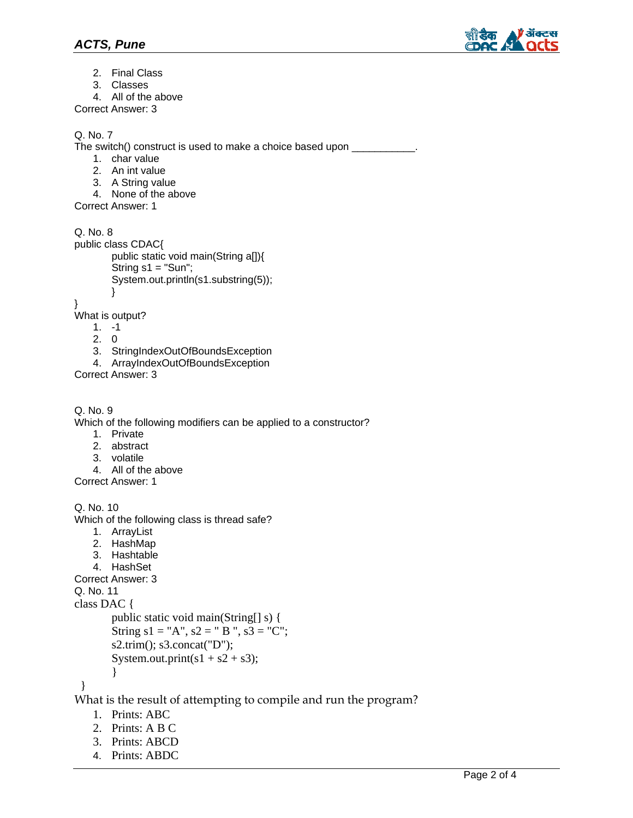

- 2. Final Class
- 3. Classes
- 4. All of the above

Correct Answer: 3

# Q. No. 7

The switch() construct is used to make a choice based upon \_\_\_\_\_\_\_\_\_\_\_\_\_\_\_\_\_\_\_\_\_\_

- 1. char value
- 2. An int value
- 3. A String value
- 4. None of the above

Correct Answer: 1

Q. No. 8 public class CDAC{ public static void main(String a[]){ String  $s1 = "Sun";$ System.out.println(s1.substring(5));

} What is output?

}

- 1. -1
- 2. 0
- 3. StringIndexOutOfBoundsException
- 4. ArrayIndexOutOfBoundsException

Correct Answer: 3

```
Q. No. 9
```
Which of the following modifiers can be applied to a constructor?

- 1. Private
- 2. abstract
- 3. volatile
- 4. All of the above
- Correct Answer: 1

```
Q. No. 10 
Which of the following class is thread safe? 
   1. ArrayList 
   2. HashMap 
   3. Hashtable 
   4. HashSet 
Correct Answer: 3 
Q. No. 11 
class DAC { 
       public static void main(String[] s) { 
       String s1 = "A", s2 = "B", s3 = "C";s2.trim(); s3.concat("D"); 
       System.out.print(s1 + s2 + s3);
        } 
  } 
What is the result of attempting to compile and run the program?
```
- 1. Prints: ABC
- 2. Prints: A B C
- 3. Prints: ABCD
- 4. Prints: ABDC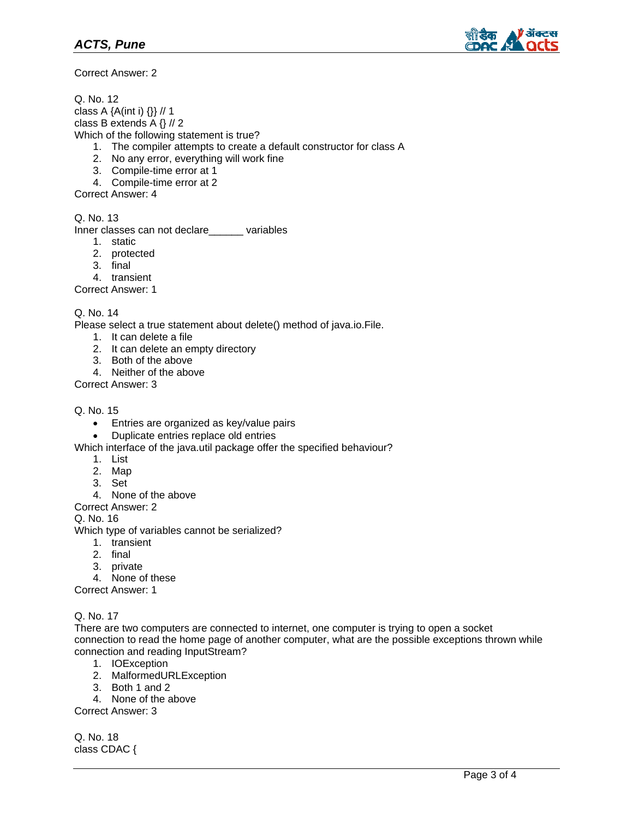

Correct Answer: 2

Q. No. 12 class A {A(int i) {}} // 1 class B extends A {} // 2 Which of the following statement is true? 1. The compiler attempts to create a default constructor for class A 2. No any error, everything will work fine

- 3. Compile-time error at 1
- 4. Compile-time error at 2

Correct Answer: 4

Q. No. 13

Inner classes can not declare\_\_\_\_\_\_ variables

- 1. static
- 2. protected
- 3. final
- 4. transient

Correct Answer: 1

#### Q. No. 14

Please select a true statement about delete() method of java.io.File.

- 1. It can delete a file
- 2. It can delete an empty directory
- 3. Both of the above
- 4. Neither of the above

Correct Answer: 3

#### Q. No. 15

- Entries are organized as key/value pairs
- Duplicate entries replace old entries

Which interface of the java.util package offer the specified behaviour?

- 1. List
- 2. Map
- 3. Set
- 4. None of the above
- Correct Answer: 2

Q. No. 16

Which type of variables cannot be serialized?

- 1. transient
- 2. final
- 3. private
- 4. None of these

Correct Answer: 1

Q. No. 17

There are two computers are connected to internet, one computer is trying to open a socket connection to read the home page of another computer, what are the possible exceptions thrown while connection and reading InputStream?

- 1. IOException
- 2. MalformedURLException
- 3. Both 1 and 2
- 4. None of the above

Correct Answer: 3

Q. No. 18 class CDAC {